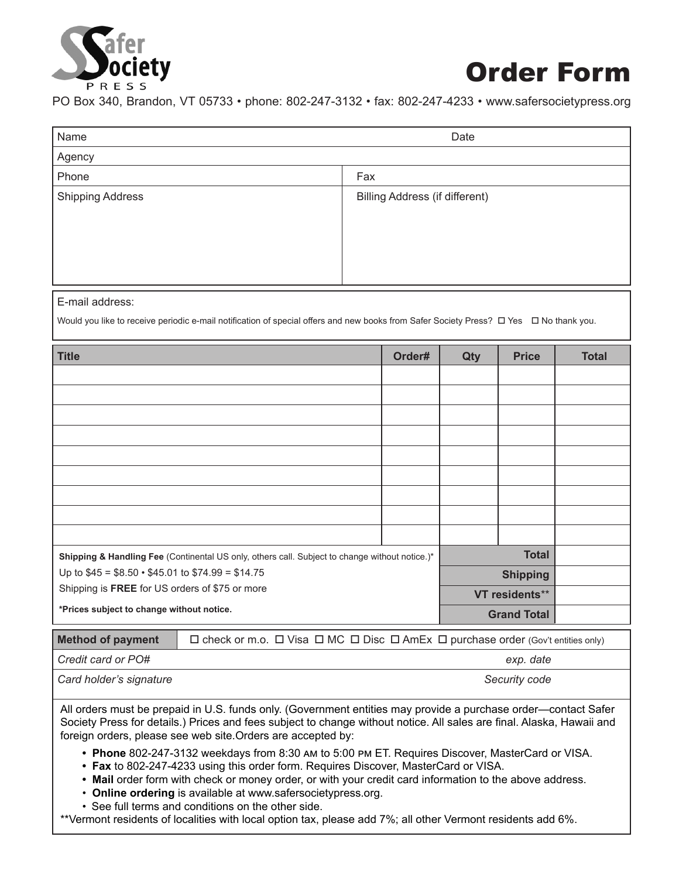

## Order Form

PO Box 340, Brandon, VT 05733 • phone: 802-247-3132 • fax: 802-247-4233 • www.safersocietypress.org

| Name                                                                                                                                   |     |                                       |        | Date |                    |              |  |
|----------------------------------------------------------------------------------------------------------------------------------------|-----|---------------------------------------|--------|------|--------------------|--------------|--|
| Agency                                                                                                                                 |     |                                       |        |      |                    |              |  |
| Phone                                                                                                                                  | Fax |                                       |        |      |                    |              |  |
| <b>Shipping Address</b>                                                                                                                |     | <b>Billing Address (if different)</b> |        |      |                    |              |  |
| E-mail address:                                                                                                                        |     |                                       |        |      |                    |              |  |
| Would you like to receive periodic e-mail notification of special offers and new books from Safer Society Press? □ Yes □ No thank you. |     |                                       |        |      |                    |              |  |
| <b>Title</b>                                                                                                                           |     |                                       | Order# | Qty  | <b>Price</b>       | <b>Total</b> |  |
|                                                                                                                                        |     |                                       |        |      |                    |              |  |
|                                                                                                                                        |     |                                       |        |      |                    |              |  |
|                                                                                                                                        |     |                                       |        |      |                    |              |  |
|                                                                                                                                        |     |                                       |        |      |                    |              |  |
|                                                                                                                                        |     |                                       |        |      |                    |              |  |
|                                                                                                                                        |     |                                       |        |      |                    |              |  |
|                                                                                                                                        |     |                                       |        |      |                    |              |  |
|                                                                                                                                        |     |                                       |        |      |                    |              |  |
|                                                                                                                                        |     |                                       |        |      |                    |              |  |
| <b>Total</b><br>Shipping & Handling Fee (Continental US only, others call. Subject to change without notice.)*                         |     |                                       |        |      |                    |              |  |
| Up to \$45 = \$8.50 · \$45.01 to \$74.99 = \$14.75                                                                                     |     |                                       |        |      | <b>Shipping</b>    |              |  |
| Shipping is FREE for US orders of \$75 or more                                                                                         |     |                                       |        |      | VT residents**     |              |  |
| *Prices subject to change without notice.                                                                                              |     |                                       |        |      | <b>Grand Total</b> |              |  |
| □ check or m.o. □ Visa □ MC □ Disc □ AmEx □ purchase order (Gov't entities only)<br><b>Method of payment</b>                           |     |                                       |        |      |                    |              |  |
| Credit card or PO#<br>exp. date                                                                                                        |     |                                       |        |      |                    |              |  |

*Card holder's signature Security code*

All orders must be prepaid in U.S. funds only. (Government entities may provide a purchase order—contact Safer Society Press for details.) Prices and fees subject to change without notice. All sales are final. Alaska, Hawaii and foreign orders, please see web site.Orders are accepted by:

- **• Phone** 802-247-3132 weekdays from 8:30 am to 5:00 pm ET. Requires Discover, MasterCard or VISA.
- **• Fax** to 802-247-4233 using this order form. Requires Discover, MasterCard or VISA.
- **• Mail** order form with check or money order, or with your credit card information to the above address.
- **Online ordering** is available at www.safersocietypress.org.
- See full terms and conditions on the other side.

\*\*Vermont residents of localities with local option tax, please add 7%; all other Vermont residents add 6%.